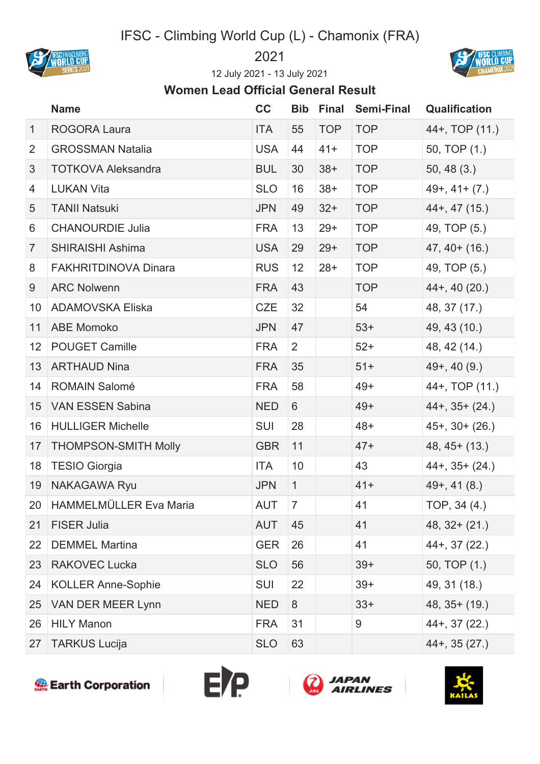## IFSC - Climbing World Cup (L) - Chamonix (FRA)





July 2021 - 13 July 2021

## **Women Lead Official General Result**

|                 | <b>Name</b>                 | cc         | <b>Bib</b>     | <b>Final</b> | <b>Semi-Final</b> | <b>Qualification</b> |
|-----------------|-----------------------------|------------|----------------|--------------|-------------------|----------------------|
| $\mathbf{1}$    | <b>ROGORA Laura</b>         | ITA        | 55             | <b>TOP</b>   | <b>TOP</b>        | 44+, TOP (11.)       |
| $\overline{2}$  | <b>GROSSMAN Natalia</b>     | <b>USA</b> | 44             | $41+$        | <b>TOP</b>        | 50, TOP (1.)         |
| 3               | <b>TOTKOVA Aleksandra</b>   | <b>BUL</b> | 30             | $38+$        | <b>TOP</b>        | 50, 48(3.)           |
| 4               | <b>LUKAN Vita</b>           | <b>SLO</b> | 16             | $38+$        | <b>TOP</b>        | $49+, 41+(7)$        |
| 5               | <b>TANII Natsuki</b>        | <b>JPN</b> | 49             | $32+$        | <b>TOP</b>        | $44+$ , 47 $(15)$    |
| 6               | <b>CHANOURDIE Julia</b>     | <b>FRA</b> | 13             | $29+$        | <b>TOP</b>        | 49, TOP (5.)         |
| $\overline{7}$  | <b>SHIRAISHI Ashima</b>     | <b>USA</b> | 29             | $29+$        | <b>TOP</b>        | $47, 40+ (16.)$      |
| 8               | <b>FAKHRITDINOVA Dinara</b> | <b>RUS</b> | 12             | $28+$        | <b>TOP</b>        | 49, TOP (5.)         |
| 9               | <b>ARC Nolwenn</b>          | <b>FRA</b> | 43             |              | <b>TOP</b>        | $44+$ , 40 $(20.)$   |
| 10 <sup>°</sup> | <b>ADAMOVSKA Eliska</b>     | <b>CZE</b> | 32             |              | 54                | 48, 37 (17.)         |
| 11              | <b>ABE Momoko</b>           | <b>JPN</b> | 47             |              | $53+$             | 49, 43 (10.)         |
| 12 <sub>2</sub> | <b>POUGET Camille</b>       | <b>FRA</b> | 2              |              | $52+$             | 48, 42 (14.)         |
| 13              | <b>ARTHAUD Nina</b>         | <b>FRA</b> | 35             |              | $51+$             | $49+, 40(9.)$        |
| 14              | <b>ROMAIN Salomé</b>        | <b>FRA</b> | 58             |              | $49+$             | 44+, TOP (11.)       |
| 15              | <b>VAN ESSEN Sabina</b>     | <b>NED</b> | 6              |              | $49+$             | $44+$ , 35+ (24.)    |
| 16              | <b>HULLIGER Michelle</b>    | <b>SUI</b> | 28             |              | $48+$             | $45+$ , 30+ (26.)    |
| 17              | <b>THOMPSON-SMITH Molly</b> | <b>GBR</b> | 11             |              | $47+$             | $48, 45+ (13.)$      |
| 18              | <b>TESIO Giorgia</b>        | ITA        | 10             |              | 43                | $44+$ , 35+ (24.)    |
| 19              | <b>NAKAGAWA Ryu</b>         | <b>JPN</b> | $\mathbf{1}$   |              | $41+$             | $49+, 41(8.)$        |
|                 | 20 HAMMELMÜLLER Eva Maria   | AUT        | $\overline{7}$ |              | 41                | TOP, 34 (4.)         |
| 21              | <b>FISER Julia</b>          | <b>AUT</b> | 45             |              | 41                | $48, 32 + (21.)$     |
| 22              | <b>DEMMEL Martina</b>       | <b>GER</b> | 26             |              | 41                | $44+$ , 37 $(22.)$   |
| 23              | <b>RAKOVEC Lucka</b>        | <b>SLO</b> | 56             |              | $39+$             | 50, TOP (1.)         |
| 24              | <b>KOLLER Anne-Sophie</b>   | <b>SUI</b> | 22             |              | $39+$             | 49, 31 (18.)         |
| 25              | VAN DER MEER Lynn           | <b>NED</b> | 8              |              | $33+$             | $48, 35+ (19.)$      |
| 26              | <b>HILY Manon</b>           | <b>FRA</b> | 31             |              | 9                 | $44+$ , 37 $(22)$    |
| 27              | <b>TARKUS Lucija</b>        | <b>SLO</b> | 63             |              |                   | $44+$ , 35 $(27.)$   |







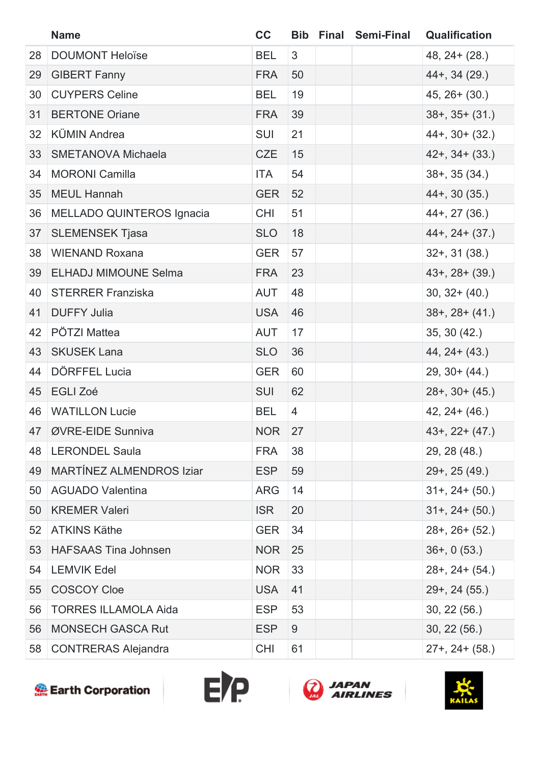|    | <b>Name</b>                      | cc         |                | <b>Bib Final Semi-Final</b> | Qualification         |
|----|----------------------------------|------------|----------------|-----------------------------|-----------------------|
| 28 | <b>DOUMONT Heloïse</b>           | <b>BEL</b> | 3              |                             | $48, 24 + (28.)$      |
| 29 | <b>GIBERT Fanny</b>              | <b>FRA</b> | 50             |                             | $44+$ , 34 (29.)      |
| 30 | <b>CUYPERS Celine</b>            | <b>BEL</b> | 19             |                             | $45, 26 + (30.)$      |
| 31 | <b>BERTONE Oriane</b>            | <b>FRA</b> | 39             |                             | $38+$ , $35+$ $(31.)$ |
| 32 | <b>KÜMIN Andrea</b>              | <b>SUI</b> | 21             |                             | $44+$ , 30+ (32.)     |
| 33 | <b>SMETANOVA Michaela</b>        | <b>CZE</b> | 15             |                             | $42+$ , $34+$ (33.)   |
| 34 | <b>MORONI Camilla</b>            | ITA        | 54             |                             | $38+$ , $35(34)$      |
| 35 | <b>MEUL Hannah</b>               | <b>GER</b> | 52             |                             | $44+$ , 30 $(35.)$    |
| 36 | <b>MELLADO QUINTEROS Ignacia</b> | <b>CHI</b> | 51             |                             | $44+$ , 27 (36.)      |
| 37 | <b>SLEMENSEK Tjasa</b>           | <b>SLO</b> | 18             |                             | $44+$ , $24+$ (37.)   |
| 38 | <b>WIENAND Roxana</b>            | <b>GER</b> | 57             |                             | $32+$ , 31 (38.)      |
| 39 | <b>ELHADJ MIMOUNE Selma</b>      | <b>FRA</b> | 23             |                             | $43+$ , $28+$ (39.)   |
| 40 | <b>STERRER Franziska</b>         | <b>AUT</b> | 48             |                             | $30, 32 + (40.)$      |
| 41 | <b>DUFFY Julia</b>               | <b>USA</b> | 46             |                             | $38+$ , $28+$ (41.)   |
| 42 | PÖTZI Mattea                     | <b>AUT</b> | 17             |                             | 35, 30 (42.)          |
| 43 | <b>SKUSEK Lana</b>               | <b>SLO</b> | 36             |                             | $44, 24 + (43.)$      |
| 44 | DÖRFFEL Lucia                    | <b>GER</b> | 60             |                             | $29, 30 + (44.)$      |
| 45 | <b>EGLI Zoé</b>                  | <b>SUI</b> | 62             |                             | $28+$ , 30+ (45.)     |
| 46 | <b>WATILLON Lucie</b>            | <b>BEL</b> | $\overline{4}$ |                             | $42, 24 + (46.)$      |
|    | 47   ØVRE-EIDE Sunniva           | <b>NOR</b> | 27             |                             | $43+$ , 22+ $(47.)$   |
| 48 | <b>LERONDEL Saula</b>            | <b>FRA</b> | 38             |                             | 29, 28 (48.)          |
| 49 | <b>MARTÍNEZ ALMENDROS Iziar</b>  | <b>ESP</b> | 59             |                             | $29+$ , 25 (49.)      |
| 50 | <b>AGUADO Valentina</b>          | <b>ARG</b> | 14             |                             | $31+, 24+(50.)$       |
| 50 | <b>KREMER Valeri</b>             | <b>ISR</b> | 20             |                             | $31+$ , $24+$ (50.)   |
| 52 | <b>ATKINS Käthe</b>              | <b>GER</b> | 34             |                             | $28+$ , $26+$ (52.)   |
| 53 | <b>HAFSAAS Tina Johnsen</b>      | <b>NOR</b> | 25             |                             | $36+$ , 0 (53.)       |
| 54 | <b>LEMVIK Edel</b>               | <b>NOR</b> | 33             |                             | $28+$ , $24+$ (54.)   |
| 55 | <b>COSCOY Cloe</b>               | <b>USA</b> | 41             |                             | $29+$ , 24 (55.)      |
| 56 | <b>TORRES ILLAMOLA Aida</b>      | <b>ESP</b> | 53             |                             | 30, 22(56.)           |
| 56 | <b>MONSECH GASCA Rut</b>         | <b>ESP</b> | 9              |                             | 30, 22(56.)           |
| 58 | <b>CONTRERAS Alejandra</b>       | <b>CHI</b> | 61             |                             | $27+$ , $24+$ (58.)   |